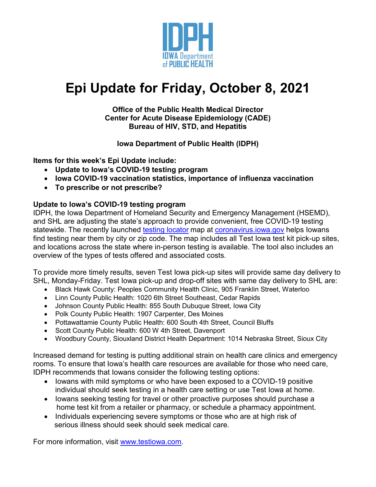

# **Epi Update for Friday, October 8, 2021**

#### **Office of the Public Health Medical Director Center for Acute Disease Epidemiology (CADE) Bureau of HIV, STD, and Hepatitis**

**Iowa Department of Public Health (IDPH)**

**Items for this week's Epi Update include:**

- **Update to Iowa's COVID-19 testing program**
- **Iowa COVID-19 vaccination statistics, importance of influenza vaccination**
- **To prescribe or not prescribe?**

#### **Update to Iowa's COVID-19 testing program**

IDPH, the Iowa Department of Homeland Security and Emergency Management (HSEMD), and SHL are adjusting the state's approach to provide convenient, free COVID-19 testing statewide. The recently launched [testing locator](https://coronavirus.iowa.gov/pages/testing-locations?utm_medium=email&utm_source=govdelivery) map at coronavirus.jowa.gov helps Iowans find testing near them by city or zip code. The map includes all Test Iowa test kit pick-up sites, and locations across the state where in-person testing is available. The tool also includes an overview of the types of tests offered and associated costs.

To provide more timely results, seven Test Iowa pick-up sites will provide same day delivery to SHL, Monday-Friday. Test Iowa pick-up and drop-off sites with same day delivery to SHL are:

- Black Hawk County: Peoples Community Health Clinic, 905 Franklin Street, Waterloo
- Linn County Public Health: 1020 6th Street Southeast, Cedar Rapids
- Johnson County Public Health: 855 South Dubuque Street, Iowa City
- Polk County Public Health: 1907 Carpenter, Des Moines
- Pottawattamie County Public Health: 600 South 4th Street, Council Bluffs
- Scott County Public Health: 600 W 4th Street, Davenport
- Woodbury County, Siouxland District Health Department: 1014 Nebraska Street, Sioux City

Increased demand for testing is putting additional strain on health care clinics and emergency rooms. To ensure that Iowa's health care resources are available for those who need care, IDPH recommends that Iowans consider the following testing options:

- Iowans with mild symptoms or who have been exposed to a COVID-19 positive individual should seek testing in a health care setting or use Test Iowa at home.
- Iowans seeking testing for travel or other proactive purposes should purchase a home test kit from a retailer or pharmacy, or schedule a pharmacy appointment.
- Individuals experiencing severe symptoms or those who are at high risk of serious illness should seek should seek medical care.

For more information, visit [www.testiowa.com.](http://www.testiowa.com/)